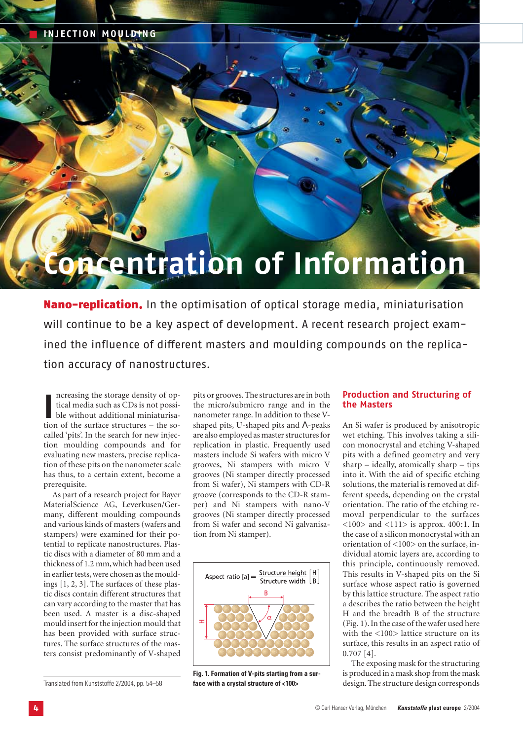# **ncentration of Information**

**Nano-replication.** In the optimisation of optical storage media, miniaturisation will continue to be a key aspect of development. A recent research project examined the influence of different masters and moulding compounds on the replication accuracy of nanostructures.

Increasing the storage density of optical media such as CDs is not possible without additional miniaturisation of the surface structures – the soncreasing the storage density of optical media such as CDs is not possible without additional miniaturisacalled 'pits'. In the search for new injection moulding compounds and for evaluating new masters, precise replication of these pits on the nanometer scale has thus, to a certain extent, become a prerequisite.

As part of a research project for Bayer MaterialScience AG, Leverkusen/Germany, different moulding compounds and various kinds of masters (wafers and stampers) were examined for their potential to replicate nanostructures. Plastic discs with a diameter of 80 mm and a thickness of 1.2 mm,which had been used in earlier tests, were chosen as the mouldings [1, 2, 3]. The surfaces of these plastic discs contain different structures that can vary according to the master that has been used. A master is a disc-shaped mould insert for the injection mould that has been provided with surface structures. The surface structures of the masters consist predominantly of V-shaped

Translated from Kunststoffe 2/2004, pp. 54–58

pits or grooves. The structures are in both the micro/submicro range and in the nanometer range. In addition to these Vshaped pits, U-shaped pits and Λ-peaks are also employed as master structures for replication in plastic. Frequently used masters include Si wafers with micro V grooves, Ni stampers with micro V grooves (Ni stamper directly processed from Si wafer), Ni stampers with CD-R groove (corresponds to the CD-R stamper) and Ni stampers with nano-V grooves (Ni stamper directly processed from Si wafer and second Ni galvanisation from Ni stamper).



**Fig. 1. Formation of V-pits starting from a surface with a crystal structure of <100>**

# **Production and Structuring of the Masters**

An Si wafer is produced by anisotropic wet etching. This involves taking a silicon monocrystal and etching V-shaped pits with a defined geometry and very sharp – ideally, atomically sharp – tips into it. With the aid of specific etching solutions, the material is removed at different speeds, depending on the crystal orientation. The ratio of the etching removal perpendicular to the surfaces <100> and <111> is approx. 400:1. In the case of a silicon monocrystal with an orientation of <100> on the surface, individual atomic layers are, according to this principle, continuously removed. This results in V-shaped pits on the Si surface whose aspect ratio is governed by this lattice structure. The aspect ratio a describes the ratio between the height H and the breadth B of the structure (Fig. 1). In the case of the wafer used here with the <100> lattice structure on its surface, this results in an aspect ratio of 0.707 [4].

The exposing mask for the structuring is produced in a mask shop from the mask design. The structure design corresponds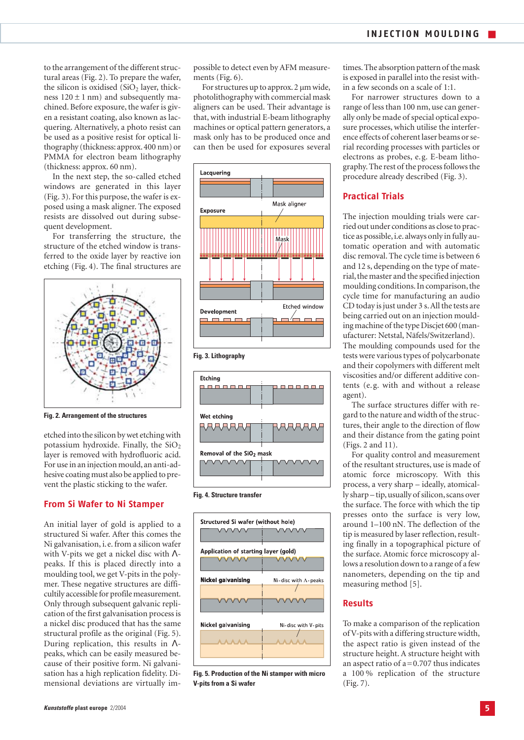to the arrangement of the different structural areas (Fig. 2). To prepare the wafer, the silicon is oxidised  $(SiO<sub>2</sub>$  layer, thickness  $120 \pm 1$  nm) and subsequently machined. Before exposure, the wafer is given a resistant coating, also known as lacquering. Alternatively, a photo resist can be used as a positive resist for optical lithography (thickness: approx. 400 nm) or PMMA for electron beam lithography (thickness: approx. 60 nm).

In the next step, the so-called etched windows are generated in this layer (Fig. 3). For this purpose, the wafer is exposed using a mask aligner. The exposed resists are dissolved out during subsequent development.

For transferring the structure, the structure of the etched window is transferred to the oxide layer by reactive ion etching (Fig. 4). The final structures are



**Fig. 2. Arrangement of the structures**

etched into the silicon by wet etching with potassium hydroxide. Finally, the  $SiO<sub>2</sub>$ layer is removed with hydrofluoric acid. For use in an injection mould, an anti-adhesive coating must also be applied to prevent the plastic sticking to the wafer.

## **From Si Wafer to Ni Stamper**

An initial layer of gold is applied to a structured Si wafer. After this comes the Ni galvanisation, i.e. from a silicon wafer with V-pits we get a nickel disc with Λpeaks. If this is placed directly into a moulding tool, we get V-pits in the polymer. These negative structures are difficultily accessible for profile measurement. Only through subsequent galvanic replication of the first galvanisation process is a nickel disc produced that has the same structural profile as the original (Fig. 5). During replication, this results in Λpeaks, which can be easily measured because of their positive form. Ni galvanisation has a high replication fidelity. Dimensional deviations are virtually impossible to detect even by AFM measurements (Fig. 6).

For structures up to approx.2 µm wide, photolithography with commercial mask aligners can be used. Their advantage is that, with industrial E-beam lithography machines or optical pattern generators, a mask only has to be produced once and can then be used for exposures several





**Fig. 4. Structure transfer**



**Fig. 5. Production of the Ni stamper with micro V-pits from a Si wafer**

times.The absorption pattern of the mask is exposed in parallel into the resist within a few seconds on a scale of 1:1.

For narrower structures down to a range of less than 100 nm, use can generally only be made of special optical exposure processes, which utilise the interference effects of coherent laser beams or serial recording processes with particles or electrons as probes, e.g. E-beam lithography. The rest of the process follows the procedure already described (Fig. 3).

## **Practical Trials**

The injection moulding trials were carried out under conditions as close to practice as possible, i.e. always only in fully automatic operation and with automatic disc removal. The cycle time is between 6 and 12 s, depending on the type of material, the master and the specified injection moulding conditions. In comparison, the cycle time for manufacturing an audio CD today is just under 3 s.All the tests are being carried out on an injection moulding machine of the type Discjet 600 (manufacturer: Netstal, Näfels/Switzerland). The moulding compounds used for the tests were various types of polycarbonate and their copolymers with different melt viscosities and/or different additive contents (e.g. with and without a release agent).

The surface structures differ with regard to the nature and width of the structures, their angle to the direction of flow and their distance from the gating point (Figs. 2 and 11).

For quality control and measurement of the resultant structures, use is made of atomic force microscopy. With this process, a very sharp – ideally, atomically sharp – tip, usually of silicon, scans over the surface. The force with which the tip presses onto the surface is very low, around 1–100 nN. The deflection of the tip is measured by laser reflection, resulting finally in a topographical picture of the surface. Atomic force microscopy allows a resolution down to a range of a few nanometers, depending on the tip and measuring method [5].

#### **Results**

To make a comparison of the replication of V-pits with a differing structure width, the aspect ratio is given instead of the structure height. A structure height with an aspect ratio of  $a = 0.707$  thus indicates a 100 % replication of the structure (Fig. 7).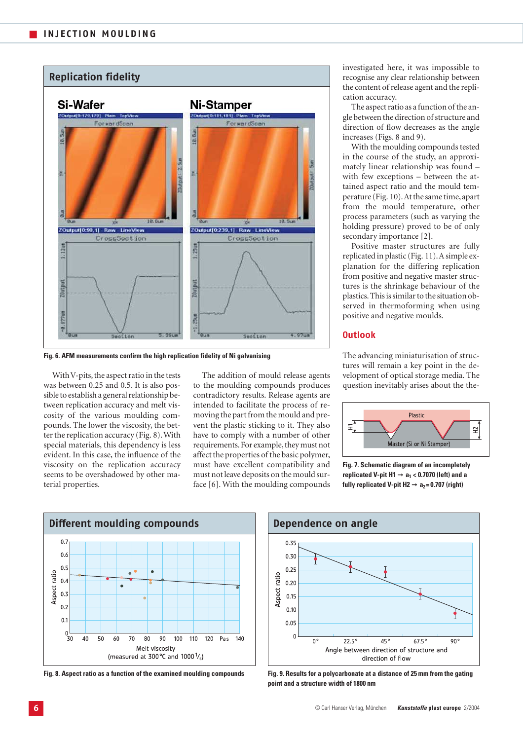

**Fig. 6. AFM measurements confirm the high replication fidelity of Ni galvanising** 

With V-pits, the aspect ratio in the tests was between 0.25 and 0.5. It is also possible to establish a general relationship between replication accuracy and melt viscosity of the various moulding compounds. The lower the viscosity, the better the replication accuracy (Fig. 8). With special materials, this dependency is less evident. In this case, the influence of the viscosity on the replication accuracy seems to be overshadowed by other material properties.

The addition of mould release agents to the moulding compounds produces contradictory results. Release agents are intended to facilitate the process of removing the part from the mould and prevent the plastic sticking to it. They also have to comply with a number of other requirements. For example, they must not affect the properties of the basic polymer, must have excellent compatibility and must not leave deposits on the mould surface [6]. With the moulding compounds

investigated here, it was impossible to recognise any clear relationship between the content of release agent and the replication accuracy.

The aspect ratio as a function of the angle between the direction of structure and direction of flow decreases as the angle increases (Figs. 8 and 9).

With the moulding compounds tested in the course of the study, an approximately linear relationship was found – with few exceptions – between the attained aspect ratio and the mould temperature (Fig. 10).At the same time, apart from the mould temperature, other process parameters (such as varying the holding pressure) proved to be of only secondary importance [2].

Positive master structures are fully replicated in plastic (Fig. 11).A simple explanation for the differing replication from positive and negative master structures is the shrinkage behaviour of the plastics.This is similar to the situation observed in thermoforming when using positive and negative moulds.

## **Outlook**

The advancing miniaturisation of structures will remain a key point in the development of optical storage media. The question inevitably arises about the the-



**Fig. 7. Schematic diagram of an incompletely replicated V-pit H1** ➞ **a1 < 0.7070 (left) and a** fully replicated V-pit H2 → a<sub>2</sub>=0.707 (right)



**Fig. 8. Aspect ratio as a function of the examined moulding compounds**



**Fig. 9. Results for a polycarbonate at a distance of 25 mm from the gating point and a structure width of 1800 nm**